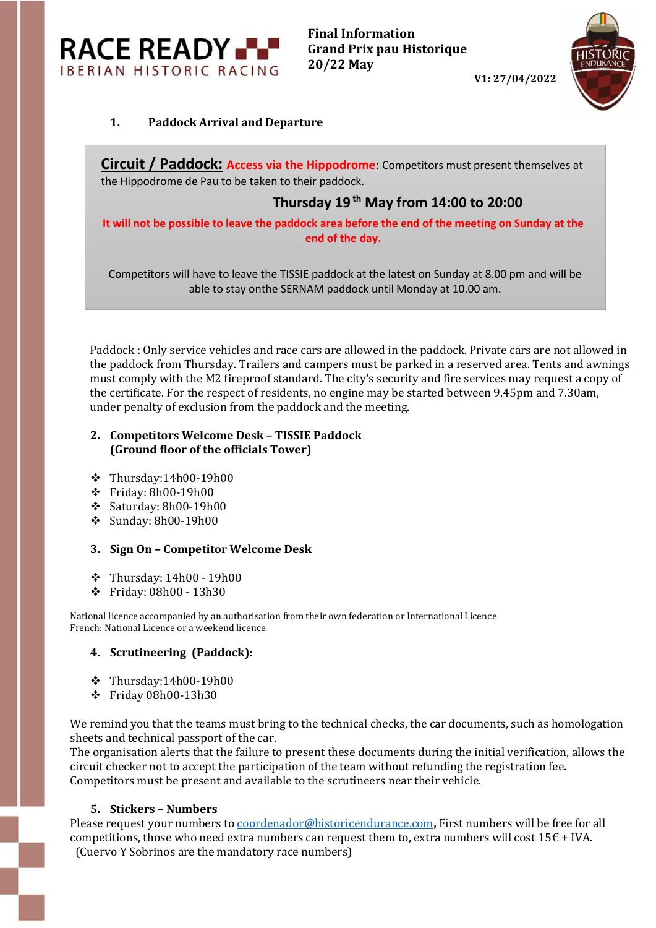**RACE READY. IBERIAN HISTORIC RACING** 

V1: 27/04/2022



## 1. Paddock Arrival and Departure

Circuit / Paddock: Access via the Hippodrome: Competitors must present themselves at the Hippodrome de Pau to be taken to their paddock.

# Thursday  $19<sup>th</sup>$  May from 14:00 to 20:00

It will not be possible to leave the paddock area before the end of the meeting on Sunday at the end of the day.

Competitors will have to leave the TISSIE paddock at the latest on Sunday at 8.00 pm and will be able to stay onthe SERNAM paddock until Monday at 10.00 am.

Paddock : Only service vehicles and race cars are allowed in the paddock. Private cars are not allowed in the paddock from Thursday. Trailers and campers must be parked in a reserved area. Tents and awnings must comply with the M2 fireproof standard. The city's security and fire services may request a copy of the certificate. For the respect of residents, no engine may be started between 9.45pm and 7.30am, under penalty of exclusion from the paddock and the meeting.

### 2. Competitors Welcome Desk – TISSIE Paddock (Ground floor of the officials Tower)

- $\div$  Thursday:14h00-19h00
- Friday: 8h00-19h00
- $\div$  Saturday: 8h00-19h00
- $\div$  Sunday: 8h00-19h00

### 3. Sign On – Competitor Welcome Desk

- Thursday: 14h00 19h00
- Friday: 08h00 13h30

National licence accompanied by an authorisation from their own federation or International Licence French: National Licence or a weekend licence

### 4. Scrutineering (Paddock):

- $\div$  Thursday:14h00-19h00
- Friday 08h00-13h30

We remind you that the teams must bring to the technical checks, the car documents, such as homologation sheets and technical passport of the car.

The organisation alerts that the failure to present these documents during the initial verification, allows the circuit checker not to accept the participation of the team without refunding the registration fee. Competitors must be present and available to the scrutineers near their vehicle.

### 5. Stickers – Numbers

Please request your numbers to coordenador@historicendurance.com, First numbers will be free for all competitions, those who need extra numbers can request them to, extra numbers will cost  $15\epsilon$  + IVA. (Cuervo Y Sobrinos are the mandatory race numbers)